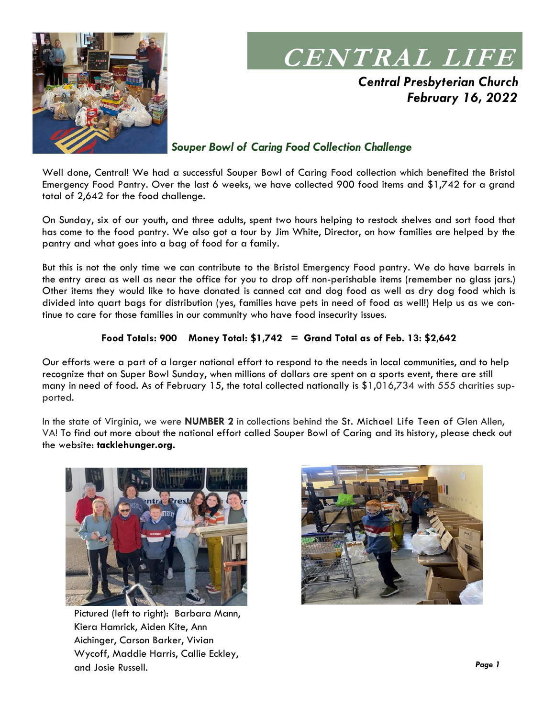

## **CENTRAL LIFE**

*Central Presbyterian Church February 16, 2022*

## *Souper Bowl of Caring Food Collection Challenge*

Well done, Central! We had a successful Souper Bowl of Caring Food collection which benefited the Bristol Emergency Food Pantry. Over the last 6 weeks, we have collected 900 food items and \$1,742 for a grand total of 2,642 for the food challenge.

On Sunday, six of our youth, and three adults, spent two hours helping to restock shelves and sort food that has come to the food pantry. We also got a tour by Jim White, Director, on how families are helped by the pantry and what goes into a bag of food for a family.

But this is not the only time we can contribute to the Bristol Emergency Food pantry. We do have barrels in the entry area as well as near the office for you to drop off non-perishable items (remember no glass jars.) Other items they would like to have donated is canned cat and dog food as well as dry dog food which is divided into quart bags for distribution (yes, families have pets in need of food as well!) Help us as we continue to care for those families in our community who have food insecurity issues.

### **Food Totals: 900 Money Total: \$1,742 = Grand Total as of Feb. 13: \$2,642**

Our efforts were a part of a larger national effort to respond to the needs in local communities, and to help recognize that on Super Bowl Sunday, when millions of dollars are spent on a sports event, there are still many in need of food. As of February 15, the total collected nationally is \$1,016,734 with 555 charities supported.

In the state of Virginia, we were **NUMBER 2** in collections behind the St. Michael Life Teen of Glen Allen, VA! To find out more about the national effort called Souper Bowl of Caring and its history, please check out the website: **tacklehunger.org.**



Pictured (left to right): Barbara Mann, Kiera Hamrick, Aiden Kite, Ann Aichinger, Carson Barker, Vivian Wycoff, Maddie Harris, Callie Eckley, and Josie Russell.

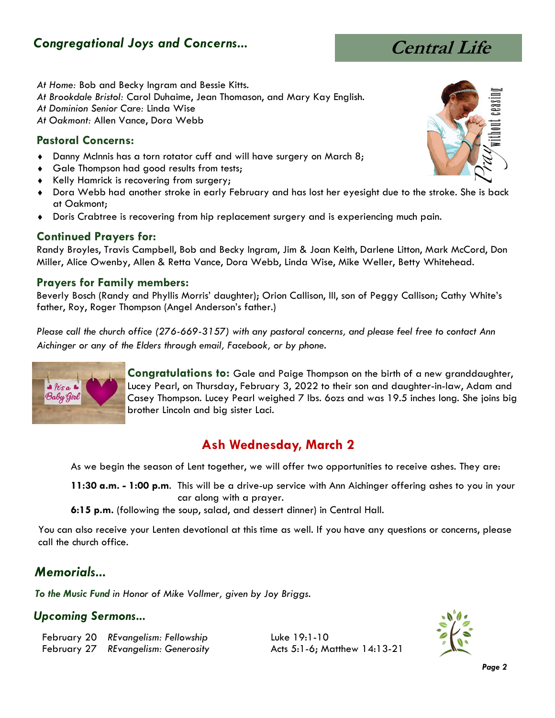## *Congregational Joys and Concerns...*



*At Home:* Bob and Becky Ingram and Bessie Kitts. *At Brookdale Bristol:* Carol Duhaime, Jean Thomason, and Mary Kay English. *At Dominion Senior Care:* Linda Wise *At Oakmont:* Allen Vance, Dora Webb

## **Pastoral Concerns:**

- Danny McInnis has a torn rotator cuff and will have surgery on March 8;
- ◆ Gale Thompson had good results from tests;
- ◆ Kelly Hamrick is recovering from surgery;
- Dora Webb had another stroke in early February and has lost her eyesight due to the stroke. She is back at Oakmont;
- Doris Crabtree is recovering from hip replacement surgery and is experiencing much pain.

### **Continued Prayers for:**

Randy Broyles, Travis Campbell, Bob and Becky Ingram, Jim & Joan Keith, Darlene Litton, Mark McCord, Don Miller, Alice Owenby, Allen & Retta Vance, Dora Webb, Linda Wise, Mike Weller, Betty Whitehead.

### **Prayers for Family members:**

Beverly Bosch (Randy and Phyllis Morris' daughter); Orion Callison, III, son of Peggy Callison; Cathy White's father, Roy, Roger Thompson (Angel Anderson's father.)

*Please call the church office (276-669-3157) with any pastoral concerns, and please feel free to contact Ann Aichinger or any of the Elders through email, Facebook, or by phone.*



**Congratulations to:** Gale and Paige Thompson on the birth of a new granddaughter, Lucey Pearl, on Thursday, February 3, 2022 to their son and daughter-in-law, Adam and Casey Thompson. Lucey Pearl weighed 7 lbs. 6ozs and was 19.5 inches long. She joins big brother Lincoln and big sister Laci.

## **Ash Wednesday, March 2**

As we begin the season of Lent together, we will offer two opportunities to receive ashes. They are:

**11:30 a.m. - 1:00 p.m**. This will be a drive-up service with Ann Aichinger offering ashes to you in your car along with a prayer.

**6:15 p.m.** (following the soup, salad, and dessert dinner) in Central Hall.

You can also receive your Lenten devotional at this time as well. If you have any questions or concerns, please call the church office.

## *Memorials...*

*To the Music Fund in Honor of Mike Vollmer, given by Joy Briggs.*

### *Upcoming Sermons...*

February 20 *REvangelism: Fellowship* Luke 19:1-10 February 27 *REvangelism: Generosity* Acts 5:1-6; Matthew 14:13-21



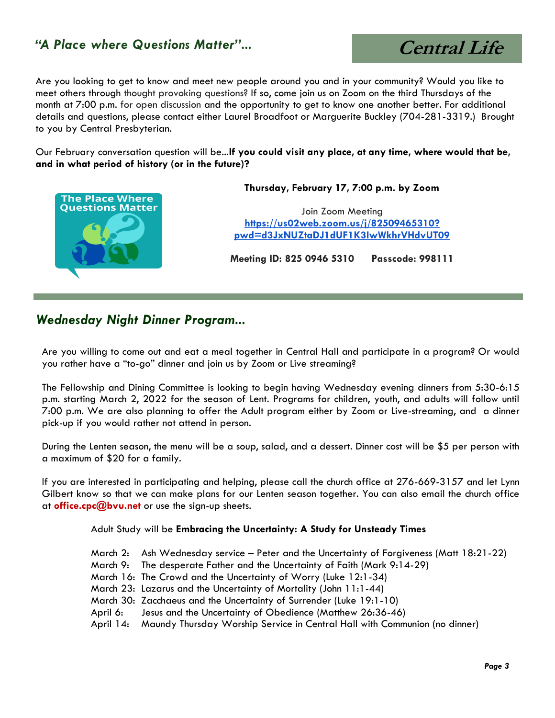## *"A Place where Questions Matter"...*

 **Central Life** Are you looking to get to know and meet new people around you and in your community? Would you like to

meet others through thought provoking questions? If so, come join us on Zoom on the third Thursdays of the month at 7:00 p.m. for open discussion and the opportunity to get to know one another better. For additional details and questions, please contact either Laurel Broadfoot or Marguerite Buckley (704-281-3319.) Brought to you by Central Presbyterian.

Our February conversation question will be...**If you could visit any place, at any time, where would that be, and in what period of history (or in the future)?**



 **Thursday, February 17, 7:00 p.m. by Zoom** 

Join Zoom Meeting **[https://us02web.zoom.us/j/82509465310?](https://us02web.zoom.us/j/82509465310?pwd=d3JxNUZtaDJ1dUF1K3IwWkhrVHdvUT09) [pwd=d3JxNUZtaDJ1dUF1K3IwWkhrVHdvUT09](https://us02web.zoom.us/j/82509465310?pwd=d3JxNUZtaDJ1dUF1K3IwWkhrVHdvUT09)**

**Meeting ID: 825 0946 5310 Passcode: 998111**

## *Wednesday Night Dinner Program...*

Are you willing to come out and eat a meal together in Central Hall and participate in a program? Or would you rather have a "to-go" dinner and join us by Zoom or Live streaming?

The Fellowship and Dining Committee is looking to begin having Wednesday evening dinners from 5:30-6:15 p.m. starting March 2, 2022 for the season of Lent. Programs for children, youth, and adults will follow until 7:00 p.m. We are also planning to offer the Adult program either by Zoom or Live-streaming, and a dinner pick-up if you would rather not attend in person.

During the Lenten season, the menu will be a soup, salad, and a dessert. Dinner cost will be \$5 per person with a maximum of \$20 for a family.

If you are interested in participating and helping, please call the church office at 276-669-3157 and let Lynn Gilbert know so that we can make plans for our Lenten season together. You can also email the church office at **[office.cpc@bvu.net](mailto:office.cpc@bvu.net)** or use the sign-up sheets.

Adult Study will be **Embracing the Uncertainty: A Study for Unsteady Times**

- March 2: Ash Wednesday service Peter and the Uncertainty of Forgiveness (Matt 18:21-22)
- March 9: The desperate Father and the Uncertainty of Faith (Mark 9:14-29)
- March 16: The Crowd and the Uncertainty of Worry (Luke 12:1-34)
- March 23: Lazarus and the Uncertainty of Mortality (John 11:1-44)
- March 30: Zacchaeus and the Uncertainty of Surrender (Luke 19:1-10)
- April 6: Jesus and the Uncertainty of Obedience (Matthew 26:36-46)
- April 14: Maundy Thursday Worship Service in Central Hall with Communion (no dinner)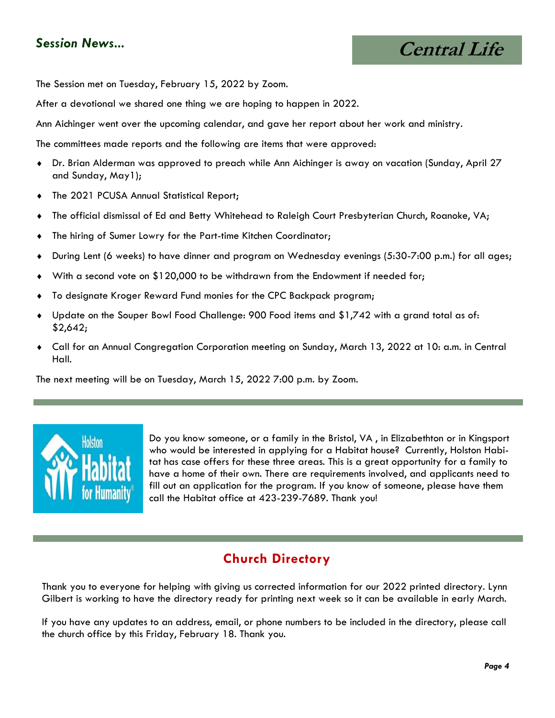## *Session News...*

 **Central Life**

The Session met on Tuesday, February 15, 2022 by Zoom.

After a devotional we shared one thing we are hoping to happen in 2022.

Ann Aichinger went over the upcoming calendar, and gave her report about her work and ministry.

The committees made reports and the following are items that were approved:

- Dr. Brian Alderman was approved to preach while Ann Aichinger is away on vacation (Sunday, April 27 and Sunday, May1);
- The 2021 PCUSA Annual Statistical Report;
- The official dismissal of Ed and Betty Whitehead to Raleigh Court Presbyterian Church, Roanoke, VA;
- The hiring of Sumer Lowry for the Part-time Kitchen Coordinator;
- During Lent (6 weeks) to have dinner and program on Wednesday evenings (5:30-7:00 p.m.) for all ages;
- With a second vote on \$120,000 to be withdrawn from the Endowment if needed for;
- To designate Kroger Reward Fund monies for the CPC Backpack program;
- Update on the Souper Bowl Food Challenge: 900 Food items and \$1,742 with a grand total as of: \$2,642;
- Call for an Annual Congregation Corporation meeting on Sunday, March 13, 2022 at 10: a.m. in Central Hall.

The next meeting will be on Tuesday, March 15, 2022 7:00 p.m. by Zoom.



Do you know someone, or a family in the Bristol, VA , in Elizabethton or in Kingsport who would be interested in applying for a Habitat house? Currently, Holston Habitat has case offers for these three areas. This is a great opportunity for a family to have a home of their own. There are requirements involved, and applicants need to fill out an application for the program. If you know of someone, please have them call the Habitat office at 423-239-7689. Thank you!

## **Church Directory**

Thank you to everyone for helping with giving us corrected information for our 2022 printed directory. Lynn Gilbert is working to have the directory ready for printing next week so it can be available in early March.

If you have any updates to an address, email, or phone numbers to be included in the directory, please call the church office by this Friday, February 18. Thank you.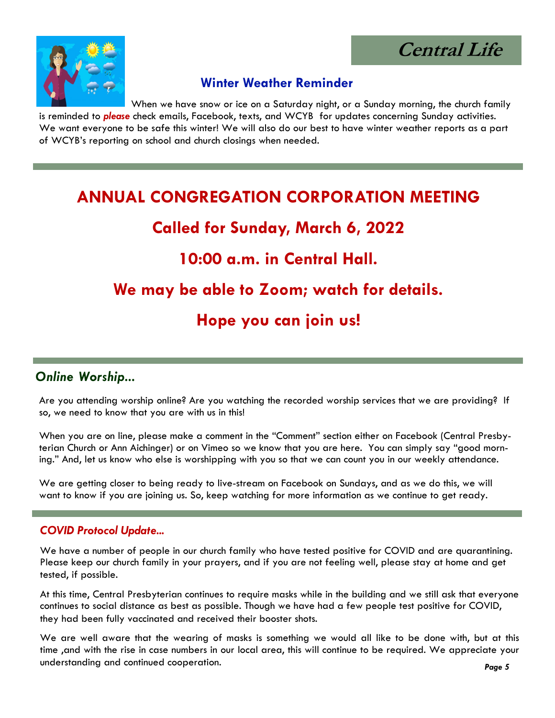**Central Life**



## **Winter Weather Reminder**

When we have snow or ice on a Saturday night, or a Sunday morning, the church family is reminded to *please* check emails, Facebook, texts, and WCYB for updates concerning Sunday activities. We want everyone to be safe this winter! We will also do our best to have winter weather reports as a part of WCYB's reporting on school and church closings when needed.

## **ANNUAL CONGREGATION CORPORATION MEETING**

## **Called for Sunday, March 6, 2022**

## **10:00 a.m. in Central Hall.**

## **We may be able to Zoom; watch for details.**

## **Hope you can join us!**

## *Online Worship...*

Are you attending worship online? Are you watching the recorded worship services that we are providing? If so, we need to know that you are with us in this!

When you are on line, please make a comment in the "Comment" section either on Facebook (Central Presbyterian Church or Ann Aichinger) or on Vimeo so we know that you are here. You can simply say "good morning." And, let us know who else is worshipping with you so that we can count you in our weekly attendance.

We are getting closer to being ready to live-stream on Facebook on Sundays, and as we do this, we will want to know if you are joining us. So, keep watching for more information as we continue to get ready.

### *COVID Protocol Update...*

We have a number of people in our church family who have tested positive for COVID and are quarantining. Please keep our church family in your prayers, and if you are not feeling well, please stay at home and get tested, if possible.

At this time, Central Presbyterian continues to require masks while in the building and we still ask that everyone continues to social distance as best as possible. Though we have had a few people test positive for COVID, they had been fully vaccinated and received their booster shots.

We are well aware that the wearing of masks is something we would all like to be done with, but at this time ,and with the rise in case numbers in our local area, this will continue to be required. We appreciate your understanding and continued cooperation.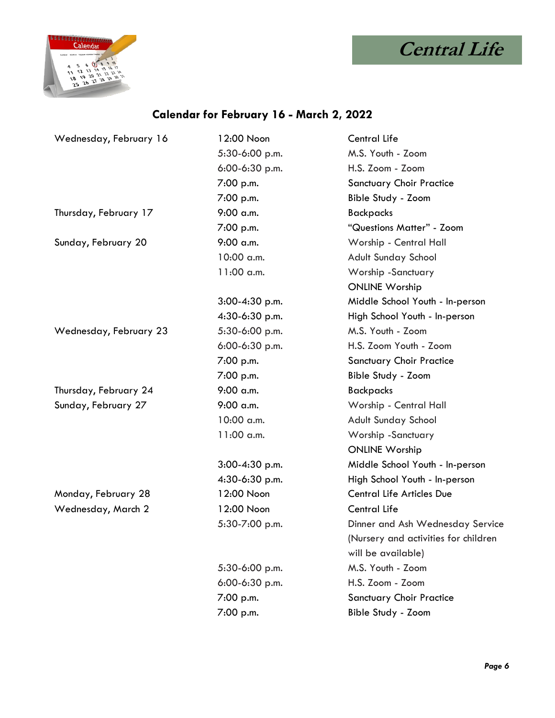



## **Calendar for February 16 - March 2, 2022**

| Wednesday, February 16 | 12:00 Noon       | <b>Central Life</b>                  |
|------------------------|------------------|--------------------------------------|
|                        | 5:30-6:00 p.m.   | M.S. Youth - Zoom                    |
|                        | $6:00-6:30$ p.m. | H.S. Zoom - Zoom                     |
|                        | 7:00 p.m.        | <b>Sanctuary Choir Practice</b>      |
|                        | 7:00 p.m.        | Bible Study - Zoom                   |
| Thursday, February 17  | 9:00 a.m.        | <b>Backpacks</b>                     |
|                        | 7:00 p.m.        | "Questions Matter" - Zoom            |
| Sunday, February 20    | $9:00$ a.m.      | Worship - Central Hall               |
|                        | 10:00 a.m.       | <b>Adult Sunday School</b>           |
|                        | 11:00 a.m.       | Worship -Sanctuary                   |
|                        |                  | <b>ONLINE Worship</b>                |
|                        | $3:00-4:30$ p.m. | Middle School Youth - In-person      |
|                        | 4:30-6:30 p.m.   | High School Youth - In-person        |
| Wednesday, February 23 | 5:30-6:00 p.m.   | M.S. Youth - Zoom                    |
|                        | 6:00-6:30 p.m.   | H.S. Zoom Youth - Zoom               |
|                        | 7:00 p.m.        | <b>Sanctuary Choir Practice</b>      |
|                        | 7:00 p.m.        | Bible Study - Zoom                   |
| Thursday, February 24  | 9:00 a.m.        | <b>Backpacks</b>                     |
| Sunday, February 27    | $9:00$ a.m.      | Worship - Central Hall               |
|                        | 10:00 a.m.       | Adult Sunday School                  |
|                        | 11:00 a.m.       | Worship -Sanctuary                   |
|                        |                  | <b>ONLINE Worship</b>                |
|                        | $3:00-4:30$ p.m. | Middle School Youth - In-person      |
|                        | 4:30-6:30 p.m.   | High School Youth - In-person        |
| Monday, February 28    | 12:00 Noon       | <b>Central Life Articles Due</b>     |
| Wednesday, March 2     | 12:00 Noon       | <b>Central Life</b>                  |
|                        | 5:30-7:00 p.m.   | Dinner and Ash Wednesday Service     |
|                        |                  | (Nursery and activities for children |
|                        |                  | will be available)                   |
|                        | 5:30-6:00 p.m.   | M.S. Youth - Zoom                    |
|                        | 6:00-6:30 p.m.   | H.S. Zoom - Zoom                     |
|                        | 7:00 p.m.        | <b>Sanctuary Choir Practice</b>      |
|                        | 7:00 p.m.        | Bible Study - Zoom                   |
|                        |                  |                                      |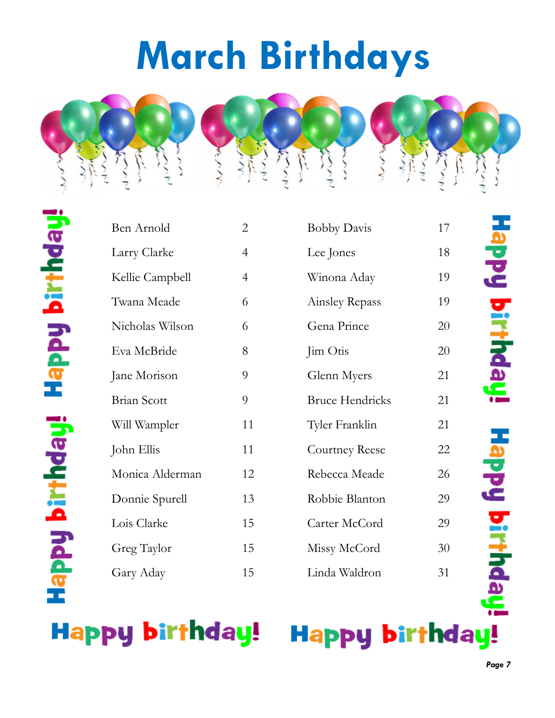# **March Birthdays**



| Ben Arnold         | $\overline{2}$ |
|--------------------|----------------|
| Larry Clarke       | 4              |
| Kellie Campbell    | 4              |
| Twana Meade        | 6              |
| Nicholas Wilson    | 6              |
| Eva McBride        | 8              |
| Jane Morison       | 9              |
| <b>Brian Scott</b> | 9              |
| Will Wampler       | 11             |
| John Ellis         | 11             |
| Monica Alderman    | 12             |
| Donnie Spurell     | 13             |
| Lois Clarke        | 15             |
| Greg Taylor        | 15             |
| Gary Aday          | 15             |

| Ben Arnold      | $\overline{2}$ | <b>Bobby Davis</b>     | 17 |
|-----------------|----------------|------------------------|----|
| Larry Clarke    | $\overline{4}$ | Lee Jones              | 18 |
| Kellie Campbell | $\overline{4}$ | Winona Aday            | 19 |
| Twana Meade     | 6              | Ainsley Repass         | 19 |
| Nicholas Wilson | 6              | Gena Prince            | 20 |
| Eva McBride     | 8              | Jim Otis               | 20 |
| Jane Morison    | 9              | Glenn Myers            | 21 |
| Brian Scott     | 9              | <b>Bruce Hendricks</b> | 21 |
| Will Wampler    | 11             | Tyler Franklin         | 21 |
| John Ellis      | 11             | <b>Courtney Reese</b>  | 22 |
| Monica Alderman | 12             | Rebecca Meade          | 26 |
| Donnie Spurell  | 13             | Robbie Blanton         | 29 |
| Lois Clarke     | 15             | Carter McCord          | 29 |
| Greg Taylor     | 15             | Missy McCord           | 30 |
| Gary Aday       | 15             | Linda Waldron          | 31 |

**Happy birthday!** 

## Happy birthday!

Happy birthday!

Happy birthday!